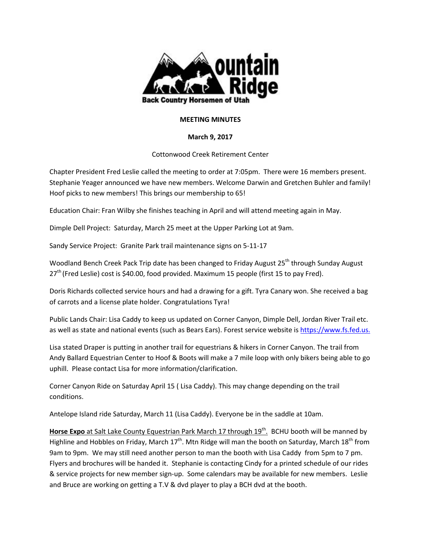

## **MEETING MINUTES**

## **March 9, 2017**

## Cottonwood Creek Retirement Center

Chapter President Fred Leslie called the meeting to order at 7:05pm. There were 16 members present. Stephanie Yeager announced we have new members. Welcome Darwin and Gretchen Buhler and family! Hoof picks to new members! This brings our membership to 65!

Education Chair: Fran Wilby she finishes teaching in April and will attend meeting again in May.

Dimple Dell Project: Saturday, March 25 meet at the Upper Parking Lot at 9am.

Sandy Service Project: Granite Park trail maintenance signs on 5-11-17

Woodland Bench Creek Pack Trip date has been changed to Friday August 25<sup>th</sup> through Sunday August 27<sup>th</sup> (Fred Leslie) cost is \$40.00, food provided. Maximum 15 people (first 15 to pay Fred).

Doris Richards collected service hours and had a drawing for a gift. Tyra Canary won. She received a bag of carrots and a license plate holder. Congratulations Tyra!

Public Lands Chair: Lisa Caddy to keep us updated on Corner Canyon, Dimple Dell, Jordan River Trail etc. as well as state and national events (such as Bears Ears). Forest service website is https://www.fs.fed.us.

Lisa stated Draper is putting in another trail for equestrians & hikers in Corner Canyon. The trail from Andy Ballard Equestrian Center to Hoof & Boots will make a 7 mile loop with only bikers being able to go uphill. Please contact Lisa for more information/clarification.

Corner Canyon Ride on Saturday April 15 ( Lisa Caddy). This may change depending on the trail conditions.

Antelope Island ride Saturday, March 11 (Lisa Caddy). Everyone be in the saddle at 10am.

Horse Expo at Salt Lake County Equestrian Park March 17 through 19<sup>th</sup>. BCHU booth will be manned by Highline and Hobbles on Friday, March 17<sup>th</sup>. Mtn Ridge will man the booth on Saturday, March 18<sup>th</sup> from 9am to 9pm. We may still need another person to man the booth with Lisa Caddy from 5pm to 7 pm. Flyers and brochures will be handed it. Stephanie is contacting Cindy for a printed schedule of our rides & service projects for new member sign-up. Some calendars may be available for new members. Leslie and Bruce are working on getting a T.V & dvd player to play a BCH dvd at the booth.